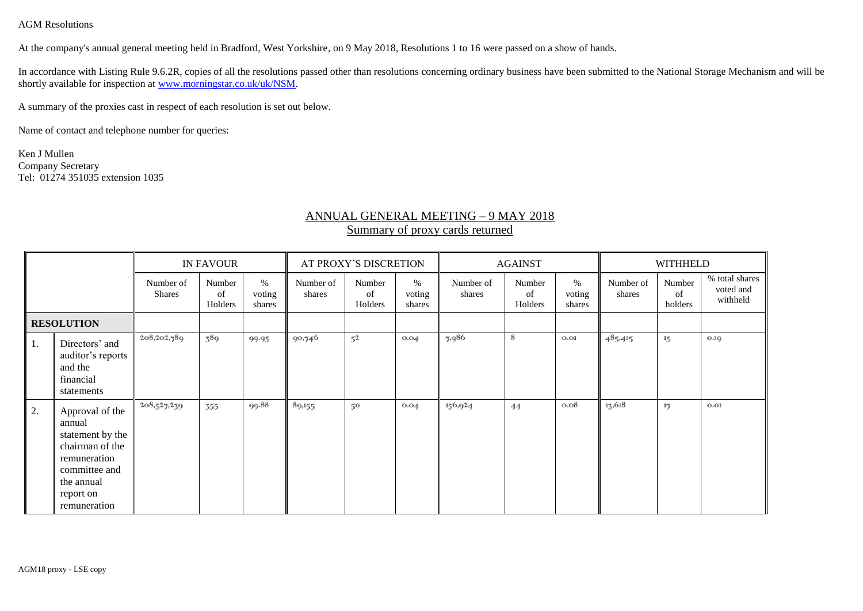AGM Resolutions

At the company's annual general meeting held in Bradford, West Yorkshire, on 9 May 2018, Resolutions 1 to 16 were passed on a show of hands.

In accordance with Listing Rule 9.6.2R, copies of all the resolutions passed other than resolutions concerning ordinary business have been submitted to the National Storage Mechanism and will be shortly available for inspection at [www.morningstar.co.uk/uk/NSM.](http://www.morningstar.co.uk/uk/NSM)

A summary of the proxies cast in respect of each resolution is set out below.

Name of contact and telephone number for queries:

Ken J Mullen Company Secretary Tel: 01274 351035 extension 1035

## ANNUAL GENERAL MEETING – 9 MAY 2018 Summary of proxy cards returned

|                   |                                                                                                                                              | <b>IN FAVOUR</b>           |                         |                          | AT PROXY'S DISCRETION |                         |                          | <b>AGAINST</b>      |                         |                          | <b>WITHHELD</b>     |                         |                                         |
|-------------------|----------------------------------------------------------------------------------------------------------------------------------------------|----------------------------|-------------------------|--------------------------|-----------------------|-------------------------|--------------------------|---------------------|-------------------------|--------------------------|---------------------|-------------------------|-----------------------------------------|
|                   |                                                                                                                                              | Number of<br><b>Shares</b> | Number<br>of<br>Holders | $\%$<br>voting<br>shares | Number of<br>shares   | Number<br>of<br>Holders | $\%$<br>voting<br>shares | Number of<br>shares | Number<br>of<br>Holders | $\%$<br>voting<br>shares | Number of<br>shares | Number<br>of<br>holders | % total shares<br>voted and<br>withheld |
| <b>RESOLUTION</b> |                                                                                                                                              |                            |                         |                          |                       |                         |                          |                     |                         |                          |                     |                         |                                         |
| 1.                | Directors' and<br>auditor's reports<br>and the<br>financial<br>statements                                                                    | 208,202,789                | 389                     | 99.95                    | 90,746                | $5^{2}$                 | 0.04                     | 7,986               | 8                       | O.01                     | 485,415             | 15                      | O.1Q                                    |
| 2.                | Approval of the<br>annual<br>statement by the<br>chairman of the<br>remuneration<br>committee and<br>the annual<br>report on<br>remuneration | 208,527,239                | 355                     | 99.88                    | 89,155                | 50                      | 0.04                     | 156,924             | 44                      | 0.08                     | 15,618              | 17                      | O.01                                    |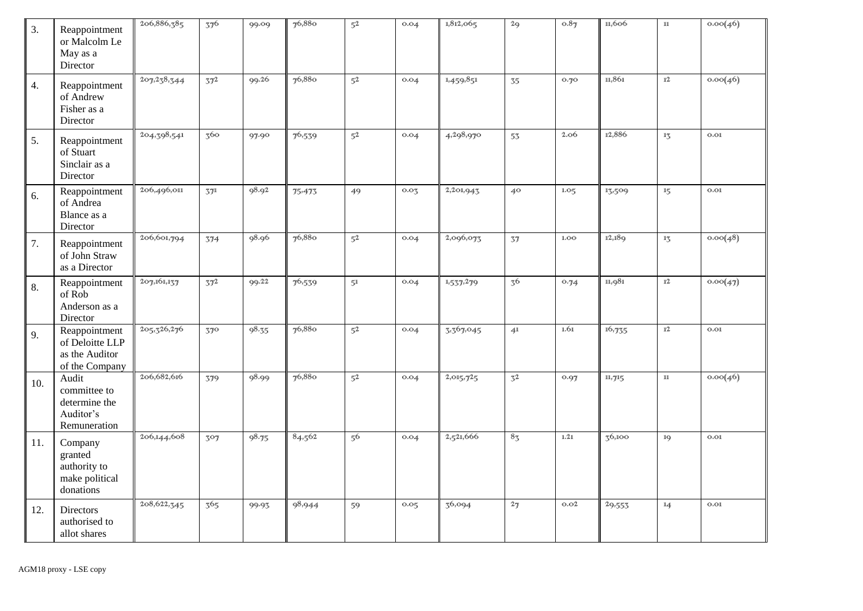| 3.  | Reappointment<br>or Malcolm Le<br>May as a<br>Director               | 206,886,385   | 376             | 99.09 | 76,880      | $5^2$          | 0.04 | 1,812,065 | 29                          | 0.87 | 11,606 | $11\,$          | 0.00(46)          |
|-----|----------------------------------------------------------------------|---------------|-----------------|-------|-------------|----------------|------|-----------|-----------------------------|------|--------|-----------------|-------------------|
| 4.  | Reappointment<br>of Andrew<br>Fisher as a<br>Director                | 207, 238, 344 | 37 <sup>2</sup> | 99.26 | 76,880      | $5^2$          | 0.04 | 1,459,851 | 35                          | 0.70 | 11,861 | $1\!\!12$       | 0.00(46)          |
| 5.  | Reappointment<br>of Stuart<br>Sinclair as a<br>Director              | 204,398,541   | 360             | 97.90 | $7^{6,539}$ | 5 <sup>2</sup> | 0.04 | 4,298,970 | 53                          | 2.06 | 12,886 | $1\frac{7}{2}$  | O <sub>s</sub> O1 |
| 6.  | Reappointment<br>of Andrea<br>Blance as a<br>Director                | 206,496,011   | 571             | 98.92 | 75.473      | 49             | 0.05 | 2,201,943 | 40                          | 1.05 | 13,509 | 15              | $O0$              |
| 7.  | Reappointment<br>of John Straw<br>as a Director                      | 206,601,794   | 374             | 98.96 | 76,880      | 5 <sup>2</sup> | 0.04 | 2,096,073 | 37                          | 1.00 | 12,189 | $1\overline{3}$ | 0.00(48)          |
| 8.  | Reappointment<br>of Rob<br>Anderson as a<br>Director                 | 207,161,137   | 37 <sup>2</sup> | 99.22 | 76,539      | 51             | 0.04 | 1,537,279 | $3^{6}$                     | 0.74 | 11,981 | $1\!\!12$       | 0.00(47)          |
| 9.  | Reappointment<br>of Deloitte LLP<br>as the Auditor<br>of the Company | 205,326,276   | 370             | 98.35 | 76,880      | 5 <sup>2</sup> | 0.04 | 3,367,045 | 4 <sup>1</sup>              | 1.61 | 16,735 | 12              | O. O1             |
| 10. | Audit<br>committee to<br>determine the<br>Auditor's<br>Remuneration  | 206,682,616   | 379             | 98.99 | 76,880      | 5 <sup>2</sup> | 0.04 | 2,015,725 | $\overline{3}$ <sup>2</sup> | 0.97 | 11,715 | $11\,$          | 0.00(46)          |
| 11. | Company<br>granted<br>authority to<br>make political<br>donations    | 206,144,608   | 307             | 98.75 | 84,562      | 56             | 0.04 | 2,521,666 | 8 <sub>3</sub>              | 1.21 | 36,100 | 1Q              | O.01              |
| 12. | Directors<br>authorised to<br>allot shares                           | 208,622,345   | 365             | 99.93 | 98,944      | 59             | 0.05 | 36,094    | 27                          | O.02 | 29,553 | 14              | 0.01              |